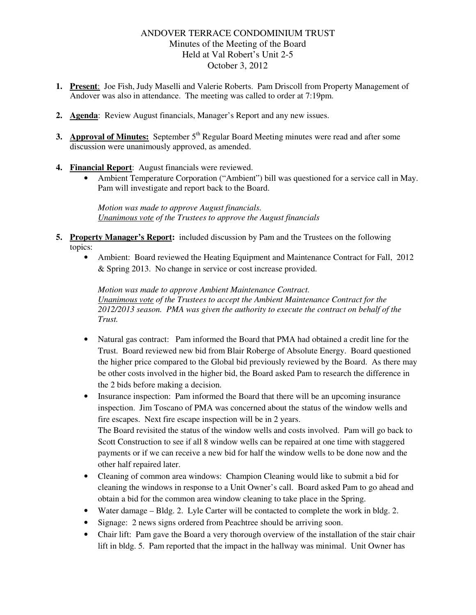## ANDOVER TERRACE CONDOMINIUM TRUST Minutes of the Meeting of the Board Held at Val Robert's Unit 2-5 October 3, 2012

- **1. Present**: Joe Fish, Judy Maselli and Valerie Roberts. Pam Driscoll from Property Management of Andover was also in attendance. The meeting was called to order at 7:19pm.
- **2. Agenda**: Review August financials, Manager's Report and any new issues.
- **3. Approval of Minutes:** September 5<sup>th</sup> Regular Board Meeting minutes were read and after some discussion were unanimously approved, as amended.
- **4. Financial Report**: August financials were reviewed.
	- Ambient Temperature Corporation ("Ambient") bill was questioned for a service call in May. Pam will investigate and report back to the Board.

*Motion was made to approve August financials. Unanimous vote of the Trustees to approve the August financials*

- **5. Property Manager's Report:** included discussion by Pam and the Trustees on the following topics:
	- Ambient: Board reviewed the Heating Equipment and Maintenance Contract for Fall, 2012 & Spring 2013. No change in service or cost increase provided.

*Motion was made to approve Ambient Maintenance Contract. Unanimous vote of the Trustees to accept the Ambient Maintenance Contract for the 2012/2013 season. PMA was given the authority to execute the contract on behalf of the Trust.* 

- Natural gas contract: Pam informed the Board that PMA had obtained a credit line for the Trust. Board reviewed new bid from Blair Roberge of Absolute Energy. Board questioned the higher price compared to the Global bid previously reviewed by the Board. As there may be other costs involved in the higher bid, the Board asked Pam to research the difference in the 2 bids before making a decision.
- Insurance inspection: Pam informed the Board that there will be an upcoming insurance inspection. Jim Toscano of PMA was concerned about the status of the window wells and fire escapes. Next fire escape inspection will be in 2 years. The Board revisited the status of the window wells and costs involved. Pam will go back to Scott Construction to see if all 8 window wells can be repaired at one time with staggered payments or if we can receive a new bid for half the window wells to be done now and the other half repaired later.
- Cleaning of common area windows: Champion Cleaning would like to submit a bid for cleaning the windows in response to a Unit Owner's call. Board asked Pam to go ahead and obtain a bid for the common area window cleaning to take place in the Spring.
- Water damage Bldg. 2. Lyle Carter will be contacted to complete the work in bldg. 2.
- Signage: 2 news signs ordered from Peachtree should be arriving soon.
- Chair lift: Pam gave the Board a very thorough overview of the installation of the stair chair lift in bldg. 5. Pam reported that the impact in the hallway was minimal. Unit Owner has